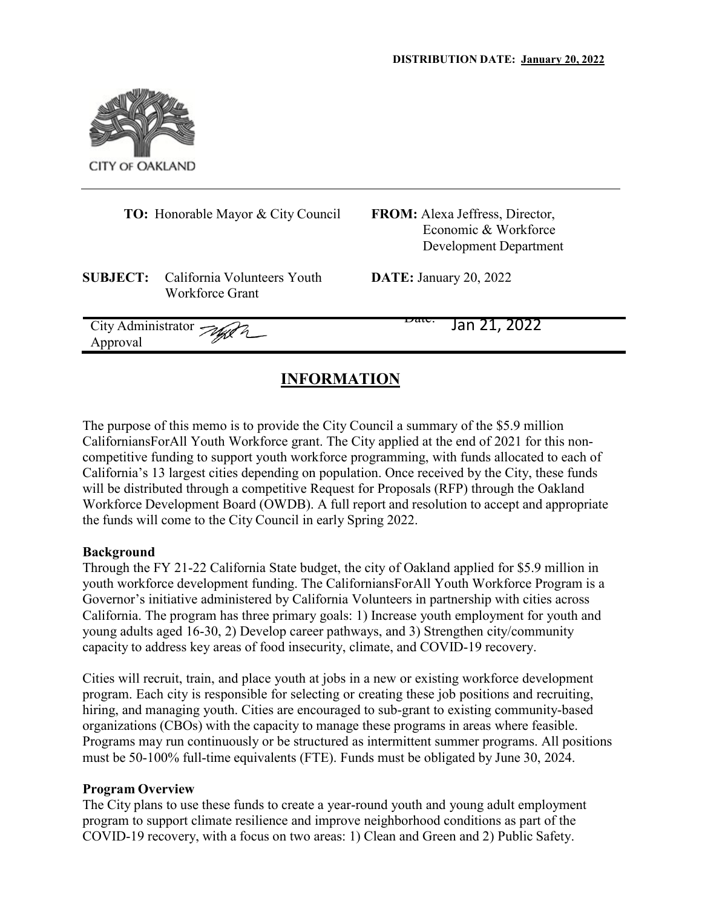

|                                      | <b>TO:</b> Honorable Mayor & City Council      | <b>FROM:</b> Alexa Jeffress, Director,<br>Economic & Workforce<br>Development Department |
|--------------------------------------|------------------------------------------------|------------------------------------------------------------------------------------------|
| <b>SUBJECT:</b>                      | California Volunteers Youth<br>Workforce Grant | <b>DATE:</b> January 20, 2022                                                            |
| City Administrator Jag 2<br>Approval |                                                | Daw.<br>Jan 21, 2022                                                                     |

# **INFORMATION**

The purpose of this memo is to provide the City Council a summary of the \$5.9 million CaliforniansForAll Youth Workforce grant. The City applied at the end of 2021 for this noncompetitive funding to support youth workforce programming, with funds allocated to each of California's 13 largest cities depending on population. Once received by the City, these funds will be distributed through a competitive Request for Proposals (RFP) through the Oakland Workforce Development Board (OWDB). A full report and resolution to accept and appropriate the funds will come to the City Council in early Spring 2022.

#### **Background**

Through the FY 21-22 California State budget, the city of Oakland applied for \$5.9 million in youth workforce development funding. The CaliforniansForAll Youth Workforce Program is a Governor's initiative administered by California Volunteers in partnership with cities across California. The program has three primary goals: 1) Increase youth employment for youth and young adults aged 16-30, 2) Develop career pathways, and 3) Strengthen city/community capacity to address key areas of food insecurity, climate, and COVID-19 recovery.

Cities will recruit, train, and place youth at jobs in a new or existing workforce development program. Each city is responsible for selecting or creating these job positions and recruiting, hiring, and managing youth. Cities are encouraged to sub-grant to existing community-based organizations (CBOs) with the capacity to manage these programs in areas where feasible. Programs may run continuously or be structured as intermittent summer programs. All positions must be 50-100% full-time equivalents (FTE). Funds must be obligated by June 30, 2024.

#### **Program Overview**

The City plans to use these funds to create a year-round youth and young adult employment program to support climate resilience and improve neighborhood conditions as part of the COVID-19 recovery, with a focus on two areas: 1) Clean and Green and 2) Public Safety.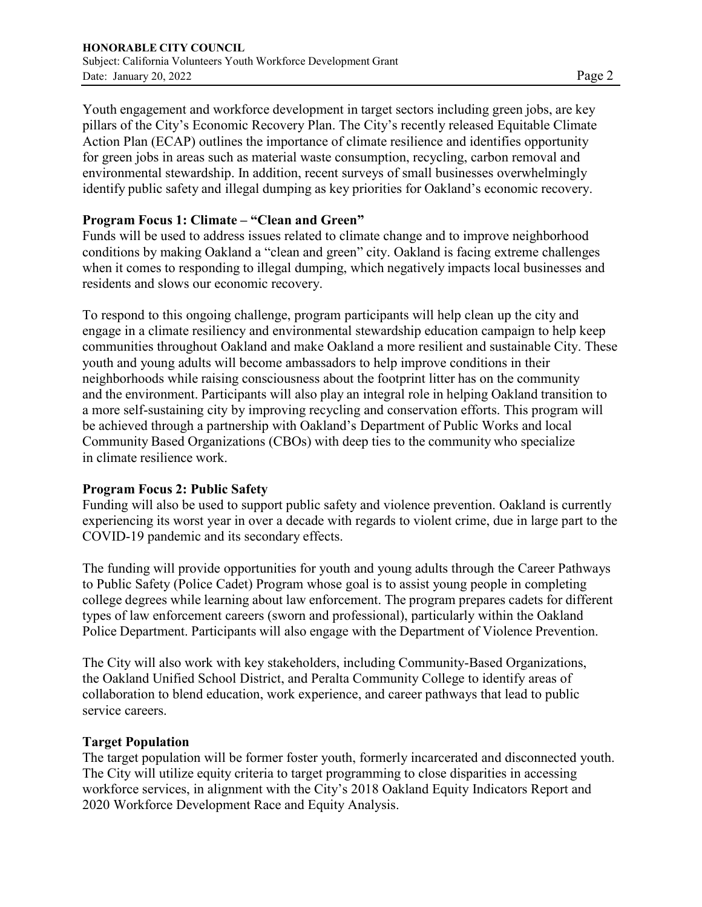Youth engagement and workforce development in target sectors including green jobs, are key pillars of the City's Economic Recovery Plan. The City's recently released Equitable Climate Action Plan (ECAP) outlines the importance of climate resilience and identifies opportunity for green jobs in areas such as material waste consumption, recycling, carbon removal and environmental stewardship. In addition, recent surveys of small businesses overwhelmingly identify public safety and illegal dumping as key priorities for Oakland's economic recovery.

## **Program Focus 1: Climate – "Clean and Green"**

Funds will be used to address issues related to climate change and to improve neighborhood conditions by making Oakland a "clean and green" city. Oakland is facing extreme challenges when it comes to responding to illegal dumping, which negatively impacts local businesses and residents and slows our economic recovery.

To respond to this ongoing challenge, program participants will help clean up the city and engage in a climate resiliency and environmental stewardship education campaign to help keep communities throughout Oakland and make Oakland a more resilient and sustainable City. These youth and young adults will become ambassadors to help improve conditions in their neighborhoods while raising consciousness about the footprint litter has on the community and the environment. Participants will also play an integral role in helping Oakland transition to a more self-sustaining city by improving recycling and conservation efforts. This program will be achieved through a partnership with Oakland's Department of Public Works and local Community Based Organizations (CBOs) with deep ties to the community who specialize in climate resilience work.

#### **Program Focus 2: Public Safety**

Funding will also be used to support public safety and violence prevention. Oakland is currently experiencing its worst year in over a decade with regards to violent crime, due in large part to the COVID-19 pandemic and its secondary effects.

The funding will provide opportunities for youth and young adults through the Career Pathways to Public Safety (Police Cadet) Program whose goal is to assist young people in completing college degrees while learning about law enforcement. The program prepares cadets for different types of law enforcement careers (sworn and professional), particularly within the Oakland Police Department. Participants will also engage with the Department of Violence Prevention.

The City will also work with key stakeholders, including Community-Based Organizations, the Oakland Unified School District, and Peralta Community College to identify areas of collaboration to blend education, work experience, and career pathways that lead to public service careers.

#### **Target Population**

The target population will be former foster youth, formerly incarcerated and disconnected youth. The City will utilize equity criteria to target programming to close disparities in accessing workforce services, in alignment with the City's 2018 Oakland Equity Indicators Report and 2020 Workforce Development Race and Equity Analysis.